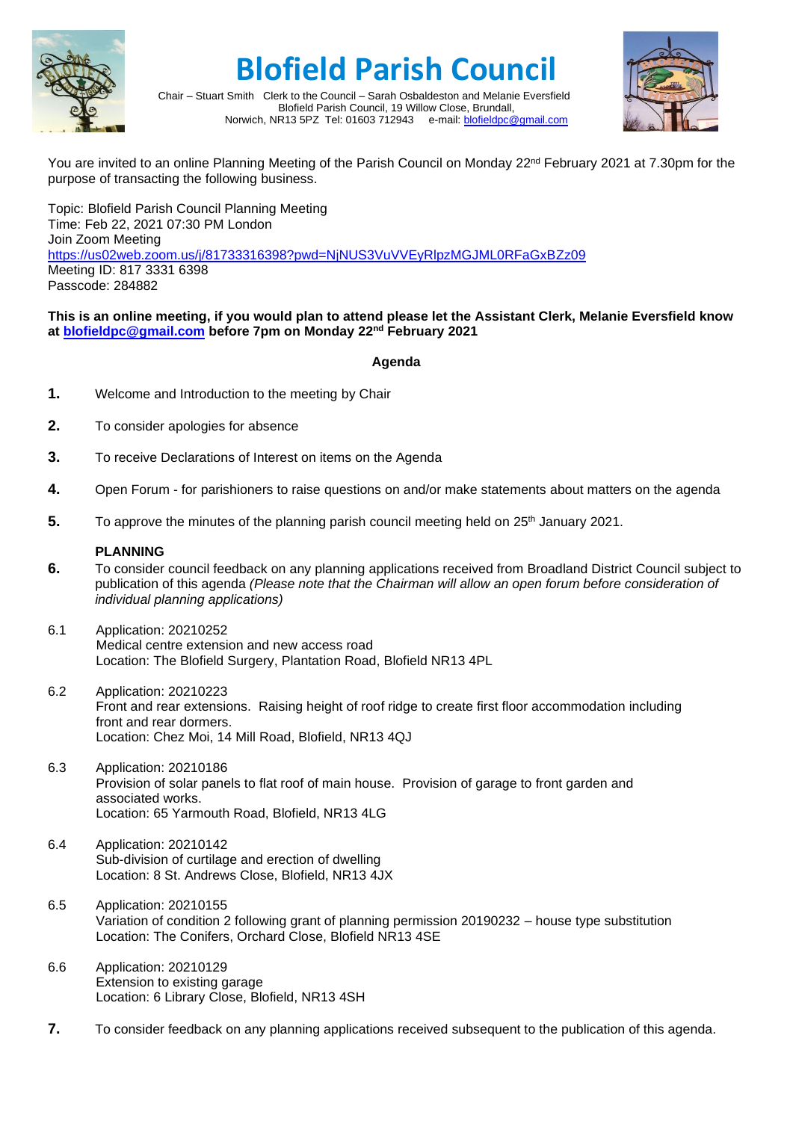

## **Blofield Parish Council**



Chair – Stuart Smith Clerk to the Council – Sarah Osbaldeston and Melanie Eversfield Blofield Parish Council, 19 Willow Close, Brundall, Norwich, NR13 5PZ Tel: 01603 712943 e-mail: [blofieldpc@gmail.com](mailto:blofieldpc@gmail.com)

You are invited to an online Planning Meeting of the Parish Council on Monday 22<sup>nd</sup> February 2021 at 7.30pm for the purpose of transacting the following business.

Topic: Blofield Parish Council Planning Meeting Time: Feb 22, 2021 07:30 PM London Join Zoom Meeting <https://us02web.zoom.us/j/81733316398?pwd=NjNUS3VuVVEyRlpzMGJML0RFaGxBZz09> Meeting ID: 817 3331 6398 Passcode: 284882

## **This is an online meeting, if you would plan to attend please let the Assistant Clerk, Melanie Eversfield know at [blofieldpc@gmail.com](mailto:blofieldpc@gmail.com) before 7pm on Monday 22nd February 2021**

## **Agenda**

- **1.** Welcome and Introduction to the meeting by Chair
- **2.** To consider apologies for absence
- **3.** To receive Declarations of Interest on items on the Agenda
- **4.** Open Forum for parishioners to raise questions on and/or make statements about matters on the agenda
- **5.** To approve the minutes of the planning parish council meeting held on 25<sup>th</sup> January 2021.

## **PLANNING**

- **6.** To consider council feedback on any planning applications received from Broadland District Council subject to publication of this agenda *(Please note that the Chairman will allow an open forum before consideration of individual planning applications)*
- 6.1 Application: 20210252 Medical centre extension and new access road Location: The Blofield Surgery, Plantation Road, Blofield NR13 4PL
- 6.2 Application: 20210223 Front and rear extensions. Raising height of roof ridge to create first floor accommodation including front and rear dormers. Location: Chez Moi, 14 Mill Road, Blofield, NR13 4QJ
- 6.3 Application: 20210186 Provision of solar panels to flat roof of main house. Provision of garage to front garden and associated works. Location: 65 Yarmouth Road, Blofield, NR13 4LG
- 6.4 Application: 20210142 Sub-division of curtilage and erection of dwelling Location: 8 St. Andrews Close, Blofield, NR13 4JX
- 6.5 Application: 20210155 Variation of condition 2 following grant of planning permission 20190232 – house type substitution Location: The Conifers, Orchard Close, Blofield NR13 4SE
- 6.6 Application: 20210129 Extension to existing garage Location: 6 Library Close, Blofield, NR13 4SH
- **7.** To consider feedback on any planning applications received subsequent to the publication of this agenda.